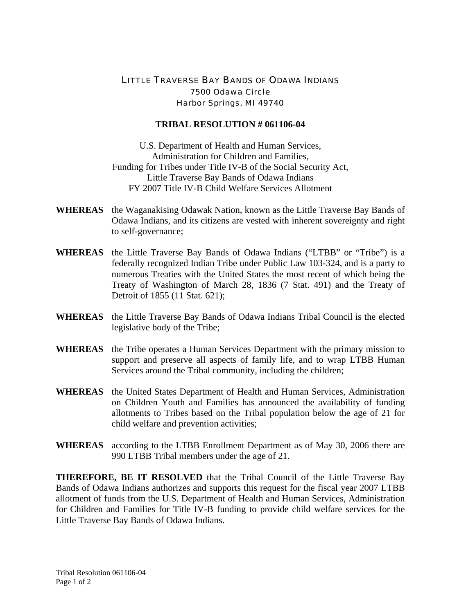## LITTLE TRAVERSE BAY BANDS OF ODAWA INDIANS 7500 Odawa Circle Harbor Springs, MI 49740

## **TRIBAL RESOLUTION # 061106-04**

U.S. Department of Health and Human Services, Administration for Children and Families, Funding for Tribes under Title IV-B of the Social Security Act, Little Traverse Bay Bands of Odawa Indians FY 2007 Title IV-B Child Welfare Services Allotment

- **WHEREAS** the Waganakising Odawak Nation, known as the Little Traverse Bay Bands of Odawa Indians, and its citizens are vested with inherent sovereignty and right to self-governance;
- **WHEREAS** the Little Traverse Bay Bands of Odawa Indians ("LTBB" or "Tribe") is a federally recognized Indian Tribe under Public Law 103-324, and is a party to numerous Treaties with the United States the most recent of which being the Treaty of Washington of March 28, 1836 (7 Stat. 491) and the Treaty of Detroit of 1855 (11 Stat. 621);
- **WHEREAS** the Little Traverse Bay Bands of Odawa Indians Tribal Council is the elected legislative body of the Tribe;
- **WHEREAS** the Tribe operates a Human Services Department with the primary mission to support and preserve all aspects of family life, and to wrap LTBB Human Services around the Tribal community, including the children;
- **WHEREAS** the United States Department of Health and Human Services, Administration on Children Youth and Families has announced the availability of funding allotments to Tribes based on the Tribal population below the age of 21 for child welfare and prevention activities;
- **WHEREAS** according to the LTBB Enrollment Department as of May 30, 2006 there are 990 LTBB Tribal members under the age of 21.

**THEREFORE, BE IT RESOLVED** that the Tribal Council of the Little Traverse Bay Bands of Odawa Indians authorizes and supports this request for the fiscal year 2007 LTBB allotment of funds from the U.S. Department of Health and Human Services, Administration for Children and Families for Title IV-B funding to provide child welfare services for the Little Traverse Bay Bands of Odawa Indians.